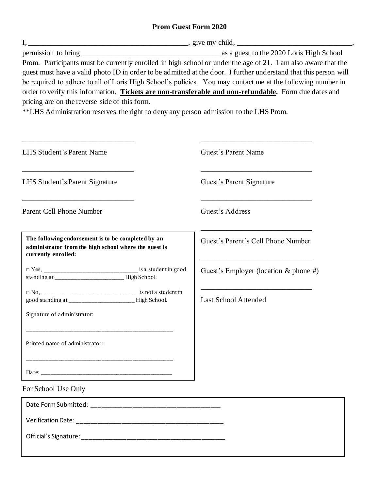## **Prom Guest Form 2020**

|                                                                                                                                                        | $I, \underline{\hspace{1cm}}$ , give my child, $\underline{\hspace{1cm}}$ |  |
|--------------------------------------------------------------------------------------------------------------------------------------------------------|---------------------------------------------------------------------------|--|
| Prom. Participants must be currently enrolled in high school or <u>under the age of 21</u> . I am also aware that the                                  |                                                                           |  |
| guest must have a valid photo ID in order to be admitted at the door. I further understand that this person will                                       |                                                                           |  |
| be required to adhere to all of Loris High School's policies. You may contact me at the following number in                                            |                                                                           |  |
| order to verify this information. Tickets are non-transferable and non-refundable. Form due dates and<br>pricing are on the reverse side of this form. |                                                                           |  |
| ** LHS Administration reserves the right to deny any person admission to the LHS Prom.                                                                 |                                                                           |  |
|                                                                                                                                                        |                                                                           |  |
|                                                                                                                                                        |                                                                           |  |
| LHS Student's Parent Name                                                                                                                              | Guest's Parent Name                                                       |  |
|                                                                                                                                                        |                                                                           |  |
| LHS Student's Parent Signature                                                                                                                         | Guest's Parent Signature                                                  |  |
| Parent Cell Phone Number                                                                                                                               | Guest's Address                                                           |  |
|                                                                                                                                                        |                                                                           |  |
| The following endorsement is to be completed by an<br>administrator from the high school where the guest is<br>currently enrolled:                     | Guest's Parent's Cell Phone Number                                        |  |
|                                                                                                                                                        | Guest's Employer (location $&$ phone #)                                   |  |
|                                                                                                                                                        |                                                                           |  |
|                                                                                                                                                        |                                                                           |  |
| good standing at _______________________High School.                                                                                                   | <b>Last School Attended</b>                                               |  |
| Signature of administrator:                                                                                                                            |                                                                           |  |
|                                                                                                                                                        |                                                                           |  |
| Printed name of administrator:                                                                                                                         |                                                                           |  |
|                                                                                                                                                        |                                                                           |  |
| For School Use Only                                                                                                                                    |                                                                           |  |
|                                                                                                                                                        |                                                                           |  |
|                                                                                                                                                        |                                                                           |  |
|                                                                                                                                                        |                                                                           |  |
|                                                                                                                                                        |                                                                           |  |